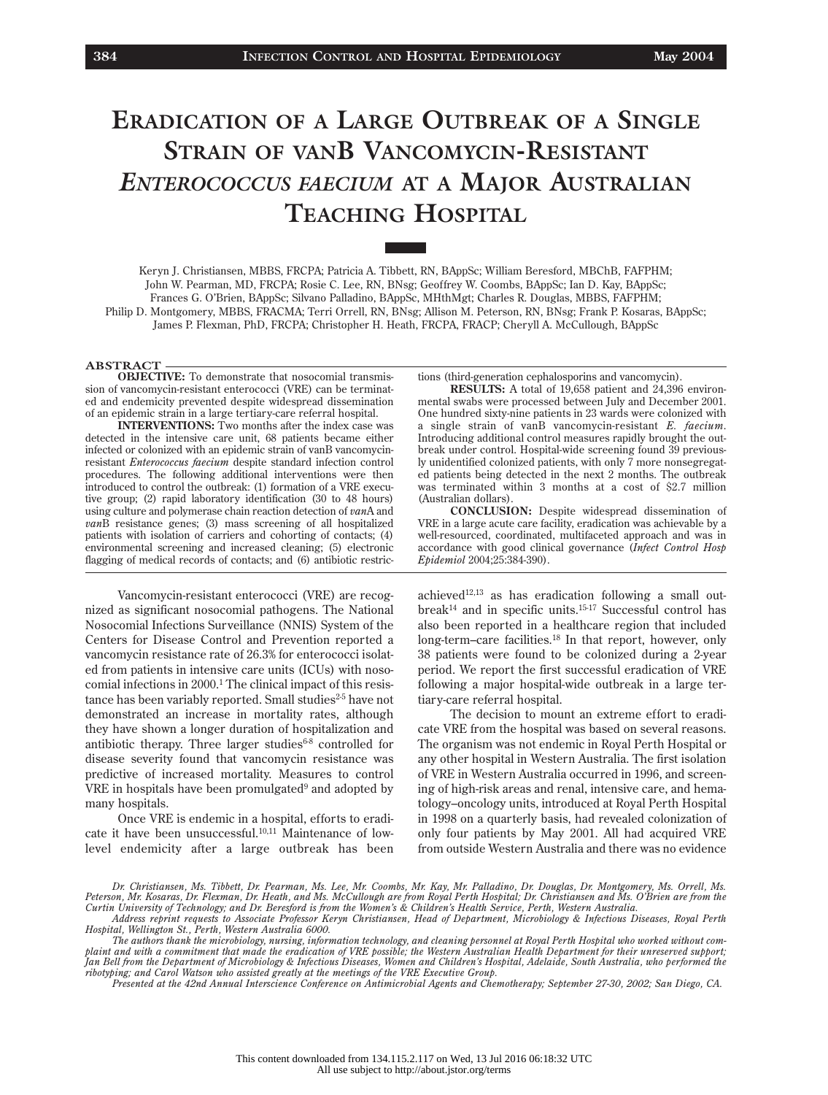# **ERADICATION OF A LARGE OUTBREAK OF A SINGLE STRAIN OF VANB VANCOMYCIN-RESISTANT** *ENTEROCOCCUS FAECIUM* **AT A MAJOR AUSTRALIAN TEACHING HOSPITAL**

Keryn J. Christiansen, MBBS, FRCPA; Patricia A. Tibbett, RN, BAppSc; William Beresford, MBChB, FAFPHM; John W. Pearman, MD, FRCPA; Rosie C. Lee, RN, BNsg; Geoffrey W. Coombs, BAppSc; Ian D. Kay, BAppSc; Frances G. O'Brien, BAppSc; Silvano Palladino, BAppSc, MHthMgt; Charles R. Douglas, MBBS, FAFPHM; Philip D. Montgomery, MBBS, FRACMA; Terri Orrell, RN, BNsg; Allison M. Peterson, RN, BNsg; Frank P. Kosaras, BAppSc; James P. Flexman, PhD, FRCPA; Christopher H. Heath, FRCPA, FRACP; Cheryll A. McCullough, BAppSc

#### **ABSTRACT**

**OBJECTIVE:** To demonstrate that nosocomial transmission of vancomycin-resistant enterococci (VRE) can be terminated and endemicity prevented despite widespread dissemination of an epidemic strain in a large tertiary-care referral hospital.

**INTERVENTIONS:** Two months after the index case was detected in the intensive care unit, 68 patients became either infected or colonized with an epidemic strain of vanB vancomycinresistant *Enterococcus faecium* despite standard infection control procedures. The following additional interventions were then introduced to control the outbreak: (1) formation of a VRE executive group; (2) rapid laboratory identification (30 to 48 hours) using culture and polymerase chain reaction detection of *van*A and *van*B resistance genes; (3) mass screening of all hospitalized patients with isolation of carriers and cohorting of contacts; (4) environmental screening and increased cleaning; (5) electronic flagging of medical records of contacts; and (6) antibiotic restric-

Vancomycin-resistant enterococci (VRE) are recognized as significant nosocomial pathogens. The National Nosocomial Infections Surveillance (NNIS) System of the Centers for Disease Control and Prevention reported a vancomycin resistance rate of 26.3% for enterococci isolated from patients in intensive care units (ICUs) with nosocomial infections in 2000.<sup>1</sup> The clinical impact of this resistance has been variably reported. Small studies<sup>2-5</sup> have not demonstrated an increase in mortality rates, although they have shown a longer duration of hospitalization and antibiotic therapy. Three larger studies $6-8$  controlled for disease severity found that vancomycin resistance was predictive of increased mortality. Measures to control VRE in hospitals have been promulgated $9$  and adopted by many hospitals.

Once VRE is endemic in a hospital, efforts to eradicate it have been unsuccessful.<sup>10,11</sup> Maintenance of lowlevel endemicity after a large outbreak has been tions (third-generation cephalosporins and vancomycin).

**RESULTS:** A total of 19,658 patient and 24,396 environmental swabs were processed between July and December 2001. One hundred sixty-nine patients in 23 wards were colonized with a single strain of vanB vancomycin-resistant *E. faecium*. Introducing additional control measures rapidly brought the outbreak under control. Hospital-wide screening found 39 previously unidentified colonized patients, with only 7 more nonsegregated patients being detected in the next 2 months. The outbreak was terminated within 3 months at a cost of \$2.7 million (Australian dollars).

**CONCLUSION:** Despite widespread dissemination of VRE in a large acute care facility, eradication was achievable by a well-resourced, coordinated, multifaceted approach and was in accordance with good clinical governance (*Infect Control Hosp Epidemiol* 2004;25:384-390).

achieved12,13 as has eradication following a small out $break<sup>14</sup>$  and in specific units.<sup>15-17</sup> Successful control has also been reported in a healthcare region that included long-term–care facilities.<sup>18</sup> In that report, however, only 38 patients were found to be colonized during a 2-year period. We report the first successful eradication of VRE following a major hospital-wide outbreak in a large tertiary-care referral hospital.

The decision to mount an extreme effort to eradicate VRE from the hospital was based on several reasons. The organism was not endemic in Royal Perth Hospital or any other hospital in Western Australia. The first isolation of VRE in Western Australia occurred in 1996, and screening of high-risk areas and renal, intensive care, and hematology–oncology units, introduced at Royal Perth Hospital in 1998 on a quarterly basis, had revealed colonization of only four patients by May 2001. All had acquired VRE from outside Western Australia and there was no evidence

*Presented at the 42nd Annual Interscience Conference on Antimicrobial Agents and Chemotherapy; September 27-30, 2002; San Diego, CA.*

*Dr. Christiansen, Ms. Tibbett, Dr. Pearman, Ms. Lee, Mr. Coombs, Mr. Kay, Mr. Palladino, Dr. Douglas, Dr. Montgomery, Ms. Orrell, Ms. Peterson, Mr. Kosaras, Dr. Flexman, Dr. Heath, and Ms. McCullough are from Royal Perth Hospital; Dr. Christiansen and Ms. O'Brien are from the Curtin University of Technology; and Dr. Beresford is from the Women's & Children's Health Service, Perth, Western Australia.*

*Address reprint requests to Associate Professor Keryn Christiansen, Head of Department, Microbiology & Infectious Diseases, Royal Perth Hospital, Wellington St., Perth, Western Australia 6000.*

*The authors thank the microbiology, nursing, information technology, and cleaning personnel at Royal Perth Hospital who worked without complaint and with a commitment that made the eradication of VRE possible; the Western Australian Health Department for their unreserved support; Jan Bell from the Department of Microbiology & Infectious Diseases, Women and Children's Hospital, Adelaide, South Australia, who performed the ribotyping; and Carol Watson who assisted greatly at the meetings of the VRE Executive Group.*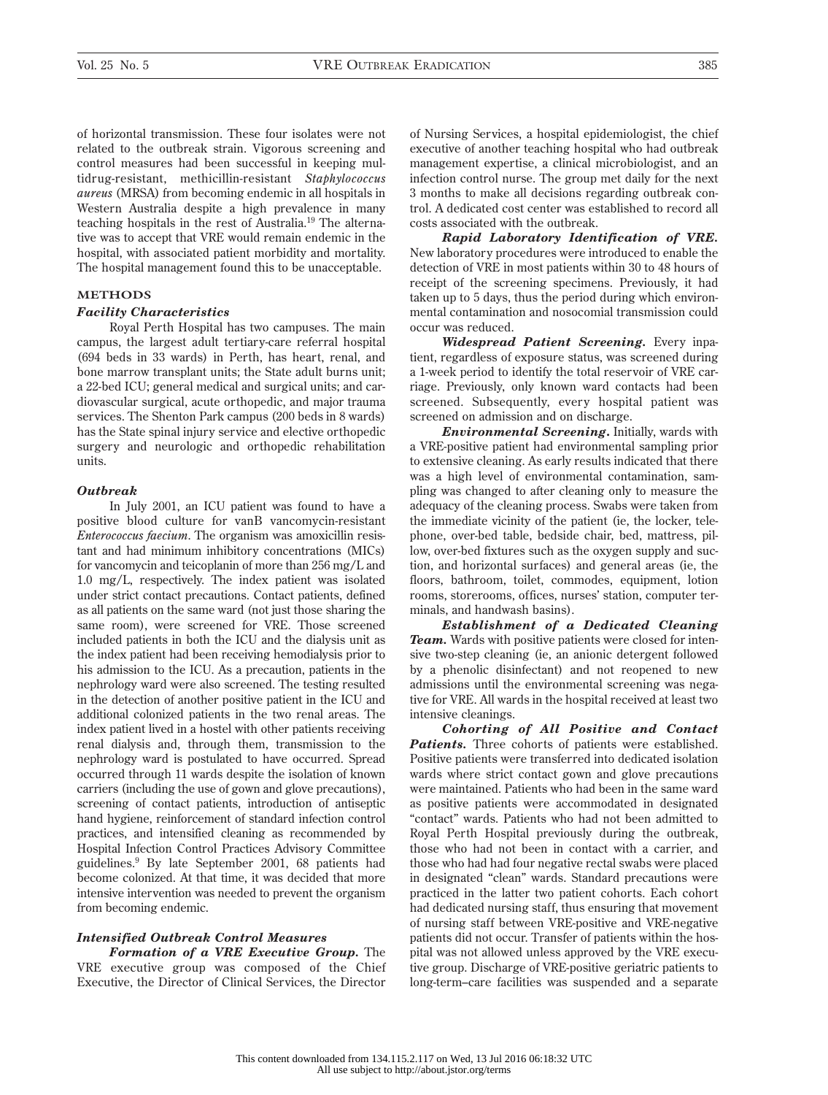of horizontal transmission. These four isolates were not related to the outbreak strain. Vigorous screening and control measures had been successful in keeping multidrug-resistant, methicillin-resistant *Staphylococcus aureus* (MRSA) from becoming endemic in all hospitals in Western Australia despite a high prevalence in many teaching hospitals in the rest of Australia.19 The alternative was to accept that VRE would remain endemic in the hospital, with associated patient morbidity and mortality. The hospital management found this to be unacceptable.

### **METHODS**

# *Facility Characteristics*

Royal Perth Hospital has two campuses. The main campus, the largest adult tertiary-care referral hospital (694 beds in 33 wards) in Perth, has heart, renal, and bone marrow transplant units; the State adult burns unit; a 22-bed ICU; general medical and surgical units; and cardiovascular surgical, acute orthopedic, and major trauma services. The Shenton Park campus (200 beds in 8 wards) has the State spinal injury service and elective orthopedic surgery and neurologic and orthopedic rehabilitation units.

#### *Outbreak*

In July 2001, an ICU patient was found to have a positive blood culture for vanB vancomycin-resistant *Enterococcus faecium*. The organism was amoxicillin resistant and had minimum inhibitory concentrations (MICs) for vancomycin and teicoplanin of more than 256 mg/L and 1.0 mg/L, respectively. The index patient was isolated under strict contact precautions. Contact patients, defined as all patients on the same ward (not just those sharing the same room), were screened for VRE. Those screened included patients in both the ICU and the dialysis unit as the index patient had been receiving hemodialysis prior to his admission to the ICU. As a precaution, patients in the nephrology ward were also screened. The testing resulted in the detection of another positive patient in the ICU and additional colonized patients in the two renal areas. The index patient lived in a hostel with other patients receiving renal dialysis and, through them, transmission to the nephrology ward is postulated to have occurred. Spread occurred through 11 wards despite the isolation of known carriers (including the use of gown and glove precautions), screening of contact patients, introduction of antiseptic hand hygiene, reinforcement of standard infection control practices, and intensified cleaning as recommended by Hospital Infection Control Practices Advisory Committee guidelines.9 By late September 2001, 68 patients had become colonized. At that time, it was decided that more intensive intervention was needed to prevent the organism from becoming endemic.

# *Intensified Outbreak Control Measures*

*Formation of a VRE Executive Group.* The VRE executive group was composed of the Chief Executive, the Director of Clinical Services, the Director

of Nursing Services, a hospital epidemiologist, the chief executive of another teaching hospital who had outbreak management expertise, a clinical microbiologist, and an infection control nurse. The group met daily for the next 3 months to make all decisions regarding outbreak control. A dedicated cost center was established to record all costs associated with the outbreak.

*Rapid Laboratory Identification of VRE.* New laboratory procedures were introduced to enable the detection of VRE in most patients within 30 to 48 hours of receipt of the screening specimens. Previously, it had taken up to 5 days, thus the period during which environmental contamination and nosocomial transmission could occur was reduced.

*Widespread Patient Screening.* Every inpatient, regardless of exposure status, was screened during a 1-week period to identify the total reservoir of VRE carriage. Previously, only known ward contacts had been screened. Subsequently, every hospital patient was screened on admission and on discharge.

*Environmental Screening***.** Initially, wards with a VRE-positive patient had environmental sampling prior to extensive cleaning. As early results indicated that there was a high level of environmental contamination, sampling was changed to after cleaning only to measure the adequacy of the cleaning process. Swabs were taken from the immediate vicinity of the patient (ie, the locker, telephone, over-bed table, bedside chair, bed, mattress, pillow, over-bed fixtures such as the oxygen supply and suction, and horizontal surfaces) and general areas (ie, the floors, bathroom, toilet, commodes, equipment, lotion rooms, storerooms, offices, nurses' station, computer terminals, and handwash basins).

*Establishment of a Dedicated Cleaning Team.* Wards with positive patients were closed for intensive two-step cleaning (ie, an anionic detergent followed by a phenolic disinfectant) and not reopened to new admissions until the environmental screening was negative for VRE. All wards in the hospital received at least two intensive cleanings.

*Cohorting of All Positive and Contact Patients.* Three cohorts of patients were established. Positive patients were transferred into dedicated isolation wards where strict contact gown and glove precautions were maintained. Patients who had been in the same ward as positive patients were accommodated in designated "contact" wards. Patients who had not been admitted to Royal Perth Hospital previously during the outbreak, those who had not been in contact with a carrier, and those who had had four negative rectal swabs were placed in designated "clean" wards. Standard precautions were practiced in the latter two patient cohorts. Each cohort had dedicated nursing staff, thus ensuring that movement of nursing staff between VRE-positive and VRE-negative patients did not occur. Transfer of patients within the hospital was not allowed unless approved by the VRE executive group. Discharge of VRE-positive geriatric patients to long-term–care facilities was suspended and a separate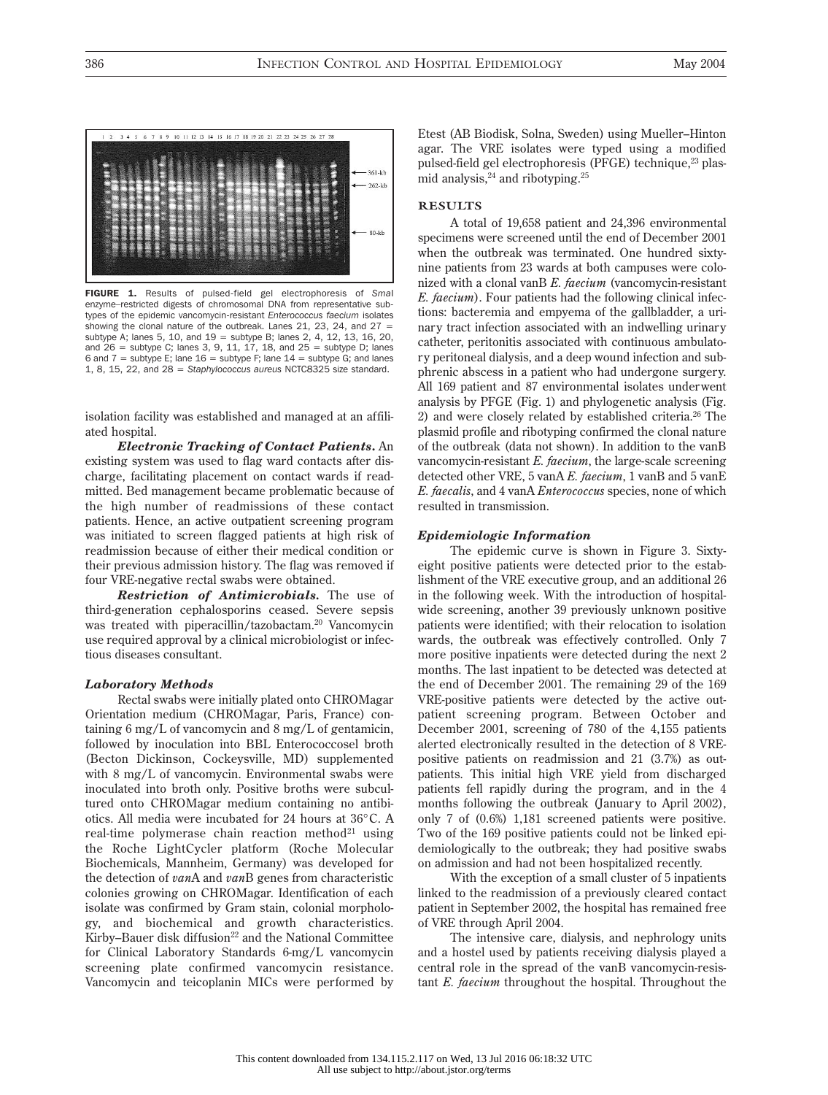

FIGURE 1. Results of pulsed-field gel electrophoresis of *Sma*I enzyme–restricted digests of chromosomal DNA from representative subtypes of the epidemic vancomycin-resistant *Enterococcus faecium* isolates showing the clonal nature of the outbreak. Lanes 21, 23, 24, and  $27 =$ subtype A; lanes 5, 10, and 19 = subtype B; lanes 2, 4, 12, 13, 16, 20, and  $26$  = subtype C; lanes 3, 9, 11, 17, 18, and  $25$  = subtype D; lanes 6 and 7 = subtype E; lane  $16$  = subtype F; lane  $14$  = subtype G; and lanes 1, 8, 15, 22, and 28 = *Staphylococcus aureus* NCTC8325 size standard.

isolation facility was established and managed at an affiliated hospital.

*Electronic Tracking of Contact Patients***.** An existing system was used to flag ward contacts after discharge, facilitating placement on contact wards if readmitted. Bed management became problematic because of the high number of readmissions of these contact patients. Hence, an active outpatient screening program was initiated to screen flagged patients at high risk of readmission because of either their medical condition or their previous admission history. The flag was removed if four VRE-negative rectal swabs were obtained.

*Restriction of Antimicrobials.* The use of third-generation cephalosporins ceased. Severe sepsis was treated with piperacillin/tazobactam.20 Vancomycin use required approval by a clinical microbiologist or infectious diseases consultant.

#### *Laboratory Methods*

Rectal swabs were initially plated onto CHROMagar Orientation medium (CHROMagar, Paris, France) containing 6 mg/L of vancomycin and 8 mg/L of gentamicin, followed by inoculation into BBL Enterococcosel broth (Becton Dickinson, Cockeysville, MD) supplemented with 8 mg/L of vancomycin. Environmental swabs were inoculated into broth only. Positive broths were subcultured onto CHROMagar medium containing no antibiotics. All media were incubated for 24 hours at 36°C. A real-time polymerase chain reaction method<sup>21</sup> using the Roche LightCycler platform (Roche Molecular Biochemicals, Mannheim, Germany) was developed for the detection of *van*A and *van*B genes from characteristic colonies growing on CHROMagar. Identification of each isolate was confirmed by Gram stain, colonial morphology, and biochemical and growth characteristics. Kirby–Bauer disk diffusion $22$  and the National Committee for Clinical Laboratory Standards 6-mg/L vancomycin screening plate confirmed vancomycin resistance. Vancomycin and teicoplanin MICs were performed by Etest (AB Biodisk, Solna, Sweden) using Mueller–Hinton agar. The VRE isolates were typed using a modified pulsed-field gel electrophoresis (PFGE) technique,<sup>23</sup> plasmid analysis, $24$  and ribotyping. $25$ 

# **RESULTS**

A total of 19,658 patient and 24,396 environmental specimens were screened until the end of December 2001 when the outbreak was terminated. One hundred sixtynine patients from 23 wards at both campuses were colonized with a clonal vanB *E. faecium* (vancomycin-resistant *E. faecium*). Four patients had the following clinical infections: bacteremia and empyema of the gallbladder, a urinary tract infection associated with an indwelling urinary catheter, peritonitis associated with continuous ambulatory peritoneal dialysis, and a deep wound infection and subphrenic abscess in a patient who had undergone surgery. All 169 patient and 87 environmental isolates underwent analysis by PFGE (Fig. 1) and phylogenetic analysis (Fig. 2) and were closely related by established criteria.26 The plasmid profile and ribotyping confirmed the clonal nature of the outbreak (data not shown). In addition to the vanB vancomycin-resistant *E. faecium*, the large-scale screening detected other VRE, 5 vanA *E. faecium*, 1 vanB and 5 vanE *E. faecalis*, and 4 vanA *Enterococcus* species, none of which resulted in transmission.

#### *Epidemiologic Information*

The epidemic curve is shown in Figure 3. Sixtyeight positive patients were detected prior to the establishment of the VRE executive group, and an additional 26 in the following week. With the introduction of hospitalwide screening, another 39 previously unknown positive patients were identified; with their relocation to isolation wards, the outbreak was effectively controlled. Only 7 more positive inpatients were detected during the next 2 months. The last inpatient to be detected was detected at the end of December 2001. The remaining 29 of the 169 VRE-positive patients were detected by the active outpatient screening program. Between October and December 2001, screening of 780 of the 4,155 patients alerted electronically resulted in the detection of 8 VREpositive patients on readmission and 21 (3.7%) as outpatients. This initial high VRE yield from discharged patients fell rapidly during the program, and in the 4 months following the outbreak (January to April 2002), only 7 of (0.6%) 1,181 screened patients were positive. Two of the 169 positive patients could not be linked epidemiologically to the outbreak; they had positive swabs on admission and had not been hospitalized recently.

With the exception of a small cluster of 5 inpatients linked to the readmission of a previously cleared contact patient in September 2002, the hospital has remained free of VRE through April 2004.

The intensive care, dialysis, and nephrology units and a hostel used by patients receiving dialysis played a central role in the spread of the vanB vancomycin-resistant *E. faecium* throughout the hospital. Throughout the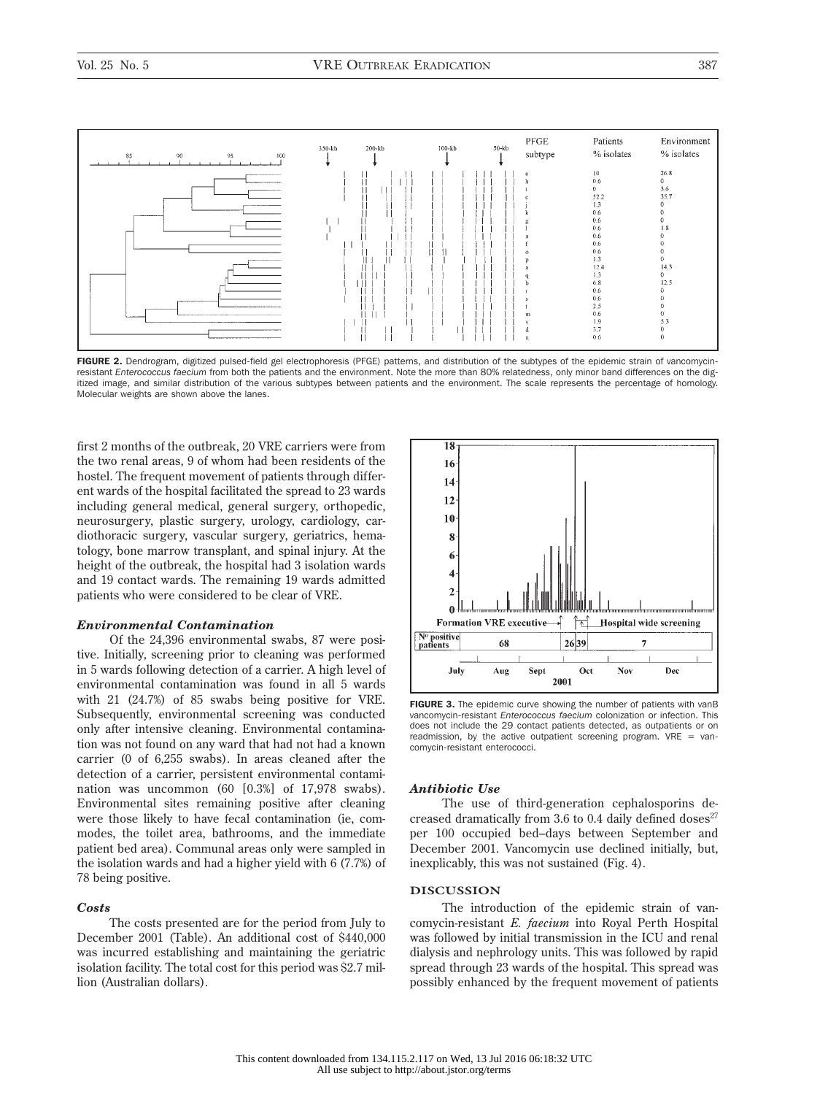

FIGURE 2. Dendrogram, digitized pulsed-field gel electrophoresis (PFGE) patterns, and distribution of the subtypes of the epidemic strain of vancomycinresistant *Enterococcus faecium* from both the patients and the environment. Note the more than 80% relatedness, only minor band differences on the digitized image, and similar distribution of the various subtypes between patients and the environment. The scale represents the percentage of homology. Molecular weights are shown above the lanes.

first 2 months of the outbreak, 20 VRE carriers were from the two renal areas, 9 of whom had been residents of the hostel. The frequent movement of patients through different wards of the hospital facilitated the spread to 23 wards including general medical, general surgery, orthopedic, neurosurgery, plastic surgery, urology, cardiology, cardiothoracic surgery, vascular surgery, geriatrics, hematology, bone marrow transplant, and spinal injury. At the height of the outbreak, the hospital had 3 isolation wards and 19 contact wards. The remaining 19 wards admitted patients who were considered to be clear of VRE.

# *Environmental Contamination*

Of the 24,396 environmental swabs, 87 were positive. Initially, screening prior to cleaning was performed in 5 wards following detection of a carrier. A high level of environmental contamination was found in all 5 wards with 21 (24.7%) of 85 swabs being positive for VRE. Subsequently, environmental screening was conducted only after intensive cleaning. Environmental contamination was not found on any ward that had not had a known carrier (0 of 6,255 swabs). In areas cleaned after the detection of a carrier, persistent environmental contamination was uncommon (60 [0.3%] of 17,978 swabs). Environmental sites remaining positive after cleaning were those likely to have fecal contamination (ie, commodes, the toilet area, bathrooms, and the immediate patient bed area). Communal areas only were sampled in the isolation wards and had a higher yield with 6 (7.7%) of 78 being positive.

#### *Costs*

The costs presented are for the period from July to December 2001 (Table). An additional cost of \$440,000 was incurred establishing and maintaining the geriatric isolation facility. The total cost for this period was \$2.7 million (Australian dollars).



FIGURE 3. The epidemic curve showing the number of patients with vanB vancomycin-resistant *Enterococcus faecium* colonization or infection. This does not include the 29 contact patients detected, as outpatients or on readmission, by the active outpatient screening program.  $VRE = van$ comycin-resistant enterococci.

# *Antibiotic Use*

The use of third-generation cephalosporins decreased dramatically from 3.6 to 0.4 daily defined doses $27$ per 100 occupied bed–days between September and December 2001. Vancomycin use declined initially, but, inexplicably, this was not sustained (Fig. 4).

# **DISCUSSION**

The introduction of the epidemic strain of vancomycin-resistant *E. faecium* into Royal Perth Hospital was followed by initial transmission in the ICU and renal dialysis and nephrology units. This was followed by rapid spread through 23 wards of the hospital. This spread was possibly enhanced by the frequent movement of patients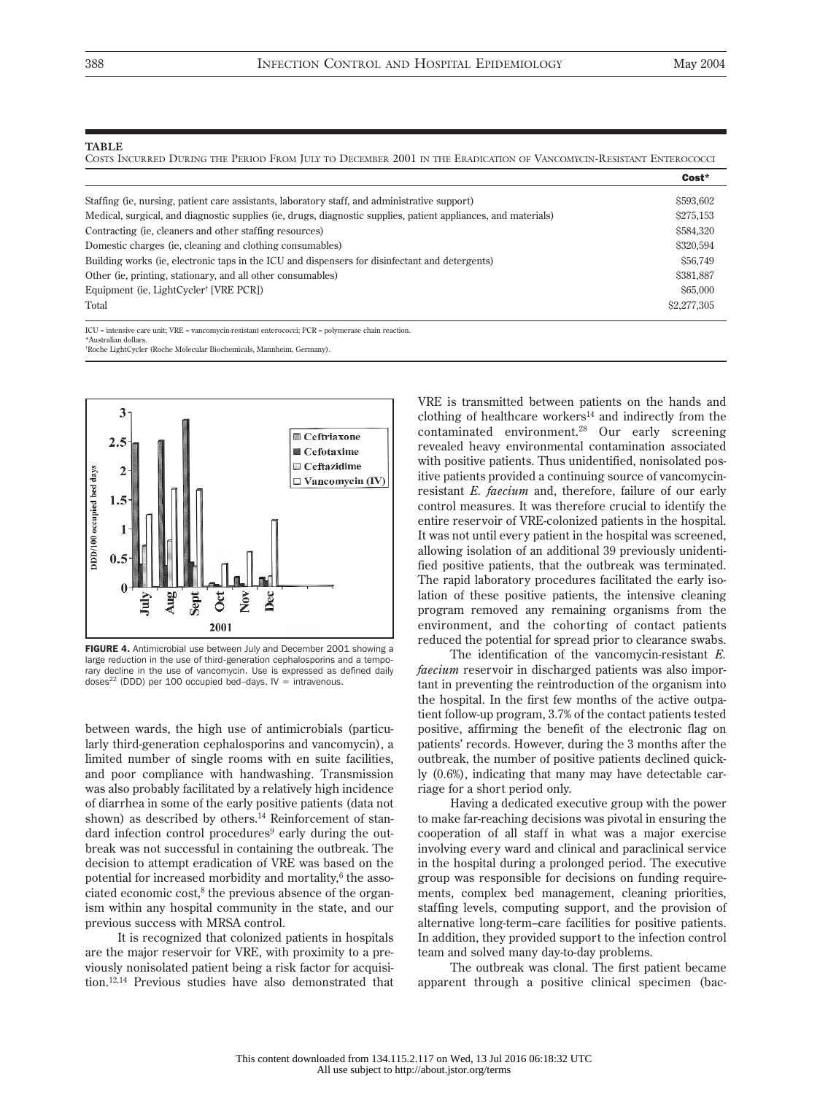#### **TABLE**

COSTS INCURRED DURING THE PERIOD FROM JULY TO DECEMBER 2001 IN THE ERADICATION OF VANCOMYCIN-RESISTANT ENTEROCOCCI

|                                                                                                                                  | Cost*       |
|----------------------------------------------------------------------------------------------------------------------------------|-------------|
| Staffing (ie, nursing, patient care assistants, laboratory staff, and administrative support)                                    | \$593,602   |
| Medical, surgical, and diagnostic supplies (ie, drugs, diagnostic supplies, patient appliances, and materials)                   | \$275,153   |
| Contracting (ie, cleaners and other staffing resources)                                                                          | \$584,320   |
| Domestic charges (ie, cleaning and clothing consumables)                                                                         | \$320,594   |
| Building works (ie, electronic taps in the ICU and dispensers for disinfectant and detergents)                                   | \$56,749    |
| Other (ie, printing, stationary, and all other consumables)                                                                      | \$381,887   |
| Equipment (ie, LightCycler <sup>†</sup> [VRE PCR])                                                                               | \$65,000    |
| Total                                                                                                                            | \$2,277,305 |
| $ICU =$ intensive care unit; $VRE =$ vancomycin-resistant enterococci; $PCR =$ polymerase chain reaction.<br>*Australian dollars |             |

† Roche LightCycler (Roche Molecular Biochemicals, Mannheim, Germany).



FIGURE 4. Antimicrobial use between July and December 2001 showing a large reduction in the use of third-generation cephalosporins and a temporary decline in the use of vancomycin. Use is expressed as defined daily doses<sup>22</sup> (DDD) per 100 occupied bed–days. IV = intravenous.

between wards, the high use of antimicrobials (particularly third-generation cephalosporins and vancomycin), a limited number of single rooms with en suite facilities, and poor compliance with handwashing. Transmission was also probably facilitated by a relatively high incidence of diarrhea in some of the early positive patients (data not shown) as described by others.<sup>14</sup> Reinforcement of standard infection control procedures<sup>9</sup> early during the outbreak was not successful in containing the outbreak. The decision to attempt eradication of VRE was based on the potential for increased morbidity and mortality,<sup>6</sup> the associated economic cost, $8$  the previous absence of the organism within any hospital community in the state, and our previous success with MRSA control.

It is recognized that colonized patients in hospitals are the major reservoir for VRE, with proximity to a previously nonisolated patient being a risk factor for acquisition.12,14 Previous studies have also demonstrated that VRE is transmitted between patients on the hands and clothing of healthcare workers<sup>14</sup> and indirectly from the contaminated environment.28 Our early screening revealed heavy environmental contamination associated with positive patients. Thus unidentified, nonisolated positive patients provided a continuing source of vancomycinresistant *E. faecium* and, therefore, failure of our early control measures. It was therefore crucial to identify the entire reservoir of VRE-colonized patients in the hospital. It was not until every patient in the hospital was screened, allowing isolation of an additional 39 previously unidentified positive patients, that the outbreak was terminated. The rapid laboratory procedures facilitated the early isolation of these positive patients, the intensive cleaning program removed any remaining organisms from the environment, and the cohorting of contact patients reduced the potential for spread prior to clearance swabs.

The identification of the vancomycin-resistant *E. faecium* reservoir in discharged patients was also important in preventing the reintroduction of the organism into the hospital. In the first few months of the active outpatient follow-up program, 3.7% of the contact patients tested positive, affirming the benefit of the electronic flag on patients' records. However, during the 3 months after the outbreak, the number of positive patients declined quickly (0.6%), indicating that many may have detectable carriage for a short period only.

Having a dedicated executive group with the power to make far-reaching decisions was pivotal in ensuring the cooperation of all staff in what was a major exercise involving every ward and clinical and paraclinical service in the hospital during a prolonged period. The executive group was responsible for decisions on funding requirements, complex bed management, cleaning priorities, staffing levels, computing support, and the provision of alternative long-term–care facilities for positive patients. In addition, they provided support to the infection control team and solved many day-to-day problems.

The outbreak was clonal. The first patient became apparent through a positive clinical specimen (bac-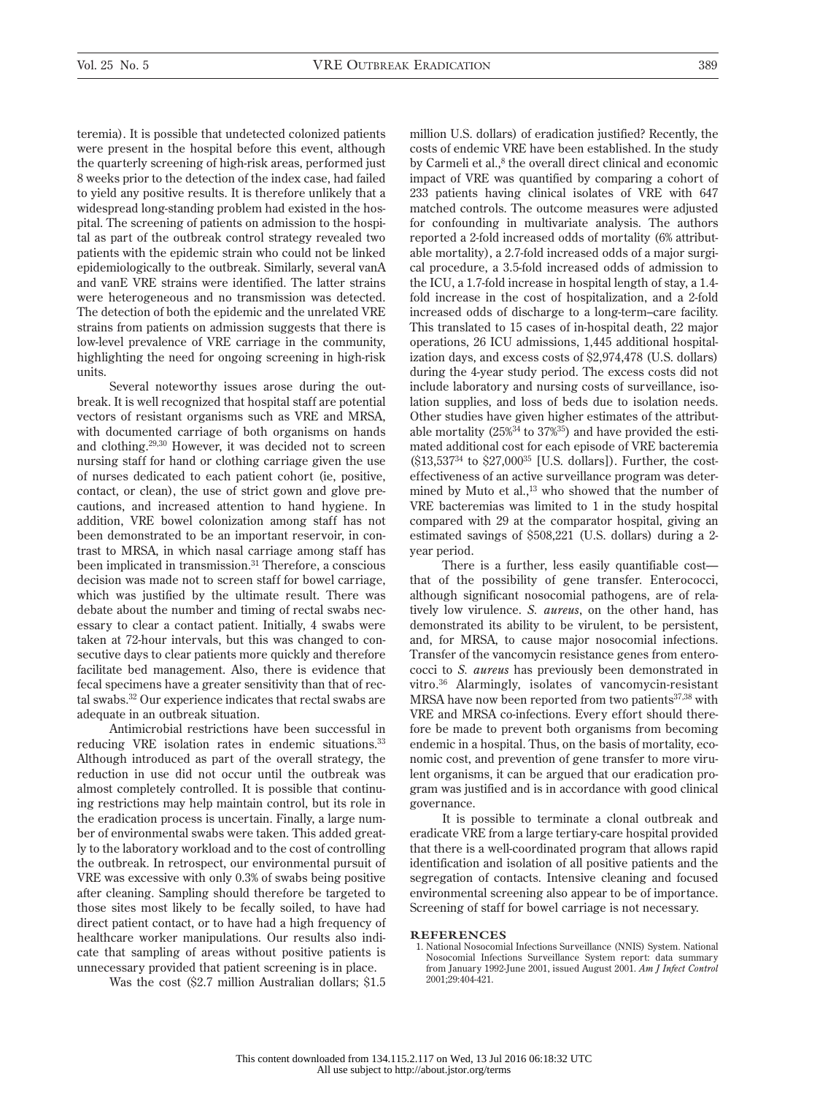teremia). It is possible that undetected colonized patients were present in the hospital before this event, although the quarterly screening of high-risk areas, performed just 8 weeks prior to the detection of the index case, had failed to yield any positive results. It is therefore unlikely that a widespread long-standing problem had existed in the hospital. The screening of patients on admission to the hospital as part of the outbreak control strategy revealed two patients with the epidemic strain who could not be linked epidemiologically to the outbreak. Similarly, several vanA and vanE VRE strains were identified. The latter strains were heterogeneous and no transmission was detected. The detection of both the epidemic and the unrelated VRE strains from patients on admission suggests that there is low-level prevalence of VRE carriage in the community, highlighting the need for ongoing screening in high-risk units.

Several noteworthy issues arose during the outbreak. It is well recognized that hospital staff are potential vectors of resistant organisms such as VRE and MRSA, with documented carriage of both organisms on hands and clothing.29,30 However, it was decided not to screen nursing staff for hand or clothing carriage given the use of nurses dedicated to each patient cohort (ie, positive, contact, or clean), the use of strict gown and glove precautions, and increased attention to hand hygiene. In addition, VRE bowel colonization among staff has not been demonstrated to be an important reservoir, in contrast to MRSA, in which nasal carriage among staff has been implicated in transmission.<sup>31</sup> Therefore, a conscious decision was made not to screen staff for bowel carriage, which was justified by the ultimate result. There was debate about the number and timing of rectal swabs necessary to clear a contact patient. Initially, 4 swabs were taken at 72-hour intervals, but this was changed to consecutive days to clear patients more quickly and therefore facilitate bed management. Also, there is evidence that fecal specimens have a greater sensitivity than that of rectal swabs.32 Our experience indicates that rectal swabs are adequate in an outbreak situation.

Antimicrobial restrictions have been successful in reducing VRE isolation rates in endemic situations.<sup>33</sup> Although introduced as part of the overall strategy, the reduction in use did not occur until the outbreak was almost completely controlled. It is possible that continuing restrictions may help maintain control, but its role in the eradication process is uncertain. Finally, a large number of environmental swabs were taken. This added greatly to the laboratory workload and to the cost of controlling the outbreak. In retrospect, our environmental pursuit of VRE was excessive with only 0.3% of swabs being positive after cleaning. Sampling should therefore be targeted to those sites most likely to be fecally soiled, to have had direct patient contact, or to have had a high frequency of healthcare worker manipulations. Our results also indicate that sampling of areas without positive patients is unnecessary provided that patient screening is in place.

Was the cost (\$2.7 million Australian dollars; \$1.5

million U.S. dollars) of eradication justified? Recently, the costs of endemic VRE have been established. In the study by Carmeli et al.,<sup>8</sup> the overall direct clinical and economic impact of VRE was quantified by comparing a cohort of 233 patients having clinical isolates of VRE with 647 matched controls. The outcome measures were adjusted for confounding in multivariate analysis. The authors reported a 2-fold increased odds of mortality (6% attributable mortality), a 2.7-fold increased odds of a major surgical procedure, a 3.5-fold increased odds of admission to the ICU, a 1.7-fold increase in hospital length of stay, a 1.4 fold increase in the cost of hospitalization, and a 2-fold increased odds of discharge to a long-term–care facility. This translated to 15 cases of in-hospital death, 22 major operations, 26 ICU admissions, 1,445 additional hospitalization days, and excess costs of \$2,974,478 (U.S. dollars) during the 4-year study period. The excess costs did not include laboratory and nursing costs of surveillance, isolation supplies, and loss of beds due to isolation needs. Other studies have given higher estimates of the attributable mortality (25%34 to 37%35) and have provided the estimated additional cost for each episode of VRE bacteremia (\$13,53734 to \$27,00035 [U.S. dollars]). Further, the costeffectiveness of an active surveillance program was determined by Muto et al.,<sup>13</sup> who showed that the number of VRE bacteremias was limited to 1 in the study hospital compared with 29 at the comparator hospital, giving an estimated savings of \$508,221 (U.S. dollars) during a 2 year period.

There is a further, less easily quantifiable cost that of the possibility of gene transfer. Enterococci, although significant nosocomial pathogens, are of relatively low virulence. *S. aureus*, on the other hand, has demonstrated its ability to be virulent, to be persistent, and, for MRSA, to cause major nosocomial infections. Transfer of the vancomycin resistance genes from enterococci to *S. aureus* has previously been demonstrated in vitro.36 Alarmingly, isolates of vancomycin-resistant MRSA have now been reported from two patients<sup>37,38</sup> with VRE and MRSA co-infections. Every effort should therefore be made to prevent both organisms from becoming endemic in a hospital. Thus, on the basis of mortality, economic cost, and prevention of gene transfer to more virulent organisms, it can be argued that our eradication program was justified and is in accordance with good clinical governance.

It is possible to terminate a clonal outbreak and eradicate VRE from a large tertiary-care hospital provided that there is a well-coordinated program that allows rapid identification and isolation of all positive patients and the segregation of contacts. Intensive cleaning and focused environmental screening also appear to be of importance. Screening of staff for bowel carriage is not necessary.

#### **REFERENCES**

1. National Nosocomial Infections Surveillance (NNIS) System. National Nosocomial Infections Surveillance System report: data summary from January 1992-June 2001, issued August 2001. *Am J Infect Control* 2001;29:404-421.